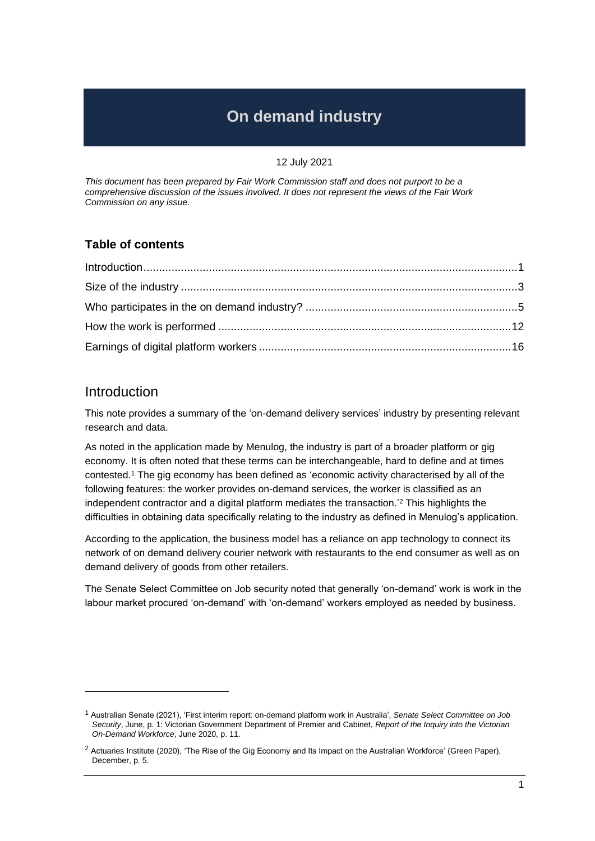# **On demand industry**

#### 12 July 2021

*This document has been prepared by Fair Work Commission staff and does not purport to be a comprehensive discussion of the issues involved. It does not represent the views of the Fair Work Commission on any issue.*

### **Table of contents**

## Introduction

This note provides a summary of the 'on-demand delivery services' industry by presenting relevant research and data.

As noted in the application made by Menulog, the industry is part of a broader platform or gig economy. It is often noted that these terms can be interchangeable, hard to define and at times contested.<sup>1</sup> The gig economy has been defined as 'economic activity characterised by all of the following features: the worker provides on-demand services, the worker is classified as an independent contractor and a digital platform mediates the transaction.' <sup>2</sup> This highlights the difficulties in obtaining data specifically relating to the industry as defined in Menulog's application.

According to the application, the business model has a reliance on app technology to connect its network of on demand delivery courier network with restaurants to the end consumer as well as on demand delivery of goods from other retailers.

The Senate Select Committee on Job security noted that generally 'on-demand' work is work in the labour market procured 'on-demand' with 'on-demand' workers employed as needed by business.

<sup>1</sup> Australian Senate (2021), 'First interim report: on-demand platform work in Australia', *Senate Select Committee on Job Security*, June, p. 1: Victorian Government Department of Premier and Cabinet, *Report of the Inquiry into the Victorian On-Demand Workforce*, June 2020, p. 11.

<sup>&</sup>lt;sup>2</sup> Actuaries Institute (2020), 'The Rise of the Gig Economy and Its Impact on the Australian Workforce' (Green Paper), December, p. 5.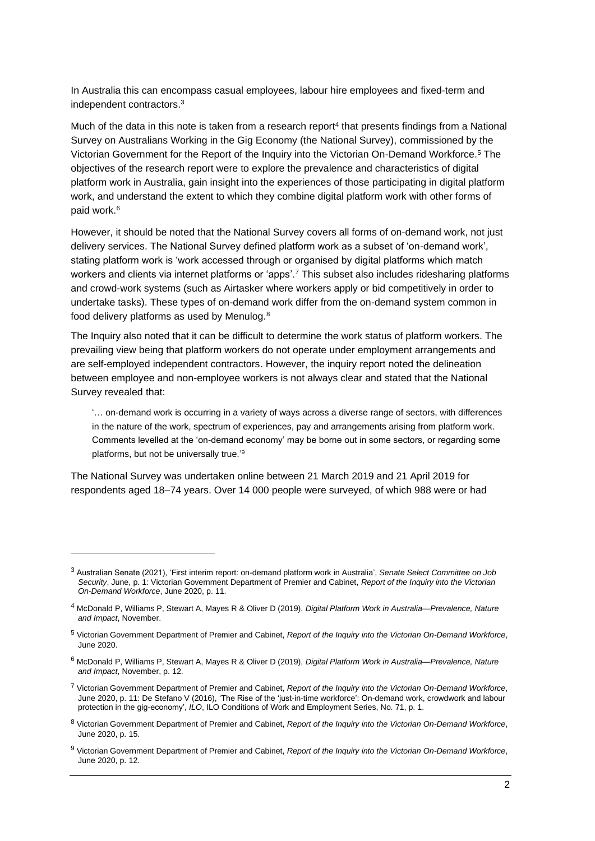In Australia this can encompass casual employees, labour hire employees and fixed-term and independent contractors.<sup>3</sup>

Much of the data in this note is taken from a research report<sup>4</sup> that presents findings from a National Survey on Australians Working in the Gig Economy (the National Survey), commissioned by the Victorian Government for the Report of the Inquiry into the Victorian On-Demand Workforce. <sup>5</sup> The objectives of the research report were to explore the prevalence and characteristics of digital platform work in Australia, gain insight into the experiences of those participating in digital platform work, and understand the extent to which they combine digital platform work with other forms of paid work.<sup>6</sup>

However, it should be noted that the National Survey covers all forms of on-demand work, not just delivery services. The National Survey defined platform work as a subset of 'on-demand work', stating platform work is 'work accessed through or organised by digital platforms which match workers and clients via internet platforms or 'apps'.<sup>7</sup> This subset also includes ridesharing platforms and crowd-work systems (such as Airtasker where workers apply or bid competitively in order to undertake tasks). These types of on-demand work differ from the on-demand system common in food delivery platforms as used by Menulog.<sup>8</sup>

The Inquiry also noted that it can be difficult to determine the work status of platform workers. The prevailing view being that platform workers do not operate under employment arrangements and are self-employed independent contractors. However, the inquiry report noted the delineation between employee and non-employee workers is not always clear and stated that the National Survey revealed that:

'… on-demand work is occurring in a variety of ways across a diverse range of sectors, with differences in the nature of the work, spectrum of experiences, pay and arrangements arising from platform work. Comments levelled at the 'on-demand economy' may be borne out in some sectors, or regarding some platforms, but not be universally true.'9

The National Survey was undertaken online between 21 March 2019 and 21 April 2019 for respondents aged 18–74 years. Over 14 000 people were surveyed, of which 988 were or had

<sup>3</sup> Australian Senate (2021), 'First interim report: on-demand platform work in Australia', *Senate Select Committee on Job Security*, June, p. 1: Victorian Government Department of Premier and Cabinet, *Report of the Inquiry into the Victorian On-Demand Workforce*, June 2020, p. 11.

<sup>4</sup> McDonald P, Williams P, Stewart A, Mayes R & Oliver D (2019), *Digital Platform Work in Australia—Prevalence, Nature and Impact*, November.

<sup>5</sup> Victorian Government Department of Premier and Cabinet, *Report of the Inquiry into the Victorian On-Demand Workforce*, June 2020.

<sup>6</sup> McDonald P, Williams P, Stewart A, Mayes R & Oliver D (2019), *Digital Platform Work in Australia—Prevalence, Nature and Impact*, November, p. 12.

<sup>7</sup> Victorian Government Department of Premier and Cabinet, *Report of the Inquiry into the Victorian On-Demand Workforce*, June 2020, p. 11: De Stefano V (2016), 'The Rise of the 'just-in-time workforce': On-demand work, crowdwork and labour protection in the gig-economy', *ILO*, ILO Conditions of Work and Employment Series, No. 71, p. 1.

<sup>8</sup> Victorian Government Department of Premier and Cabinet, *Report of the Inquiry into the Victorian On-Demand Workforce*, June 2020, p. 15.

<sup>9</sup> Victorian Government Department of Premier and Cabinet, *Report of the Inquiry into the Victorian On-Demand Workforce*, June 2020, p. 12.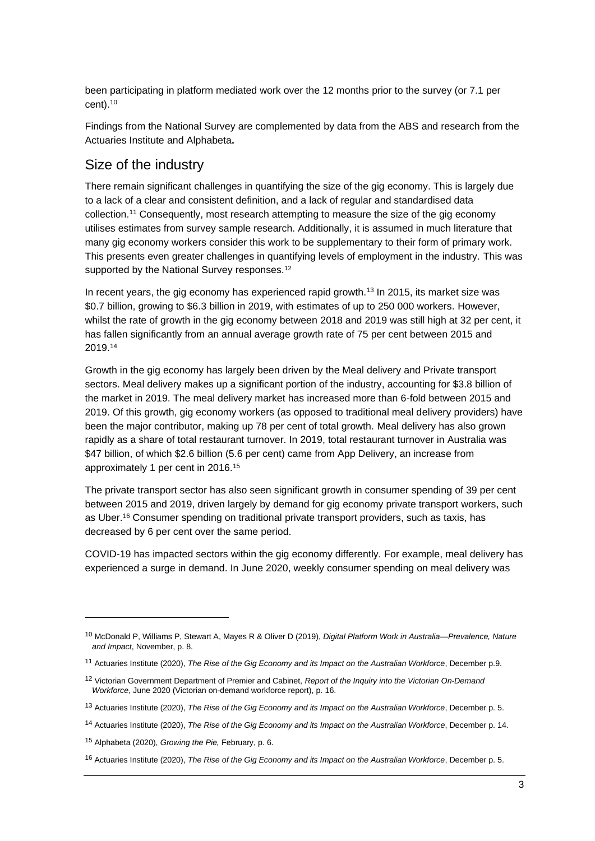been participating in platform mediated work over the 12 months prior to the survey (or 7.1 per cent).<sup>10</sup>

Findings from the National Survey are complemented by data from the ABS and research from the Actuaries Institute and Alphabeta**.**

### Size of the industry

There remain significant challenges in quantifying the size of the gig economy. This is largely due to a lack of a clear and consistent definition, and a lack of regular and standardised data collection.<sup>11</sup> Consequently, most research attempting to measure the size of the gig economy utilises estimates from survey sample research. Additionally, it is assumed in much literature that many gig economy workers consider this work to be supplementary to their form of primary work. This presents even greater challenges in quantifying levels of employment in the industry. This was supported by the National Survey responses.<sup>12</sup>

In recent years, the gig economy has experienced rapid growth.<sup>13</sup> In 2015, its market size was \$0.7 billion, growing to \$6.3 billion in 2019, with estimates of up to 250 000 workers. However, whilst the rate of growth in the gig economy between 2018 and 2019 was still high at 32 per cent, it has fallen significantly from an annual average growth rate of 75 per cent between 2015 and 2019.<sup>14</sup>

Growth in the gig economy has largely been driven by the Meal delivery and Private transport sectors. Meal delivery makes up a significant portion of the industry, accounting for \$3.8 billion of the market in 2019. The meal delivery market has increased more than 6-fold between 2015 and 2019. Of this growth, gig economy workers (as opposed to traditional meal delivery providers) have been the major contributor, making up 78 per cent of total growth. Meal delivery has also grown rapidly as a share of total restaurant turnover. In 2019, total restaurant turnover in Australia was \$47 billion, of which \$2.6 billion (5.6 per cent) came from App Delivery, an increase from approximately 1 per cent in 2016.<sup>15</sup>

The private transport sector has also seen significant growth in consumer spending of 39 per cent between 2015 and 2019, driven largely by demand for gig economy private transport workers, such as Uber. <sup>16</sup> Consumer spending on traditional private transport providers, such as taxis, has decreased by 6 per cent over the same period.

COVID-19 has impacted sectors within the gig economy differently. For example, meal delivery has experienced a surge in demand. In June 2020, weekly consumer spending on meal delivery was

<sup>10</sup> McDonald P, Williams P, Stewart A, Mayes R & Oliver D (2019), *Digital Platform Work in Australia—Prevalence, Nature and Impact*, November, p. 8.

<sup>11</sup> Actuaries Institute (2020), *The Rise of the Gig Economy and its Impact on the Australian Workforce*, December p.9.

<sup>12</sup> Victorian Government Department of Premier and Cabinet, *Report of the Inquiry into the Victorian On-Demand Workforce*, June 2020 (Victorian on-demand workforce report), p. 16.

<sup>13</sup> Actuaries Institute (2020), *The Rise of the Gig Economy and its Impact on the Australian Workforce*, December p. 5.

<sup>14</sup> Actuaries Institute (2020), *The Rise of the Gig Economy and its Impact on the Australian Workforce*, December p. 14.

<sup>15</sup> Alphabeta (2020), *Growing the Pie,* February, p. 6.

<sup>16</sup> Actuaries Institute (2020), *The Rise of the Gig Economy and its Impact on the Australian Workforce*, December p. 5.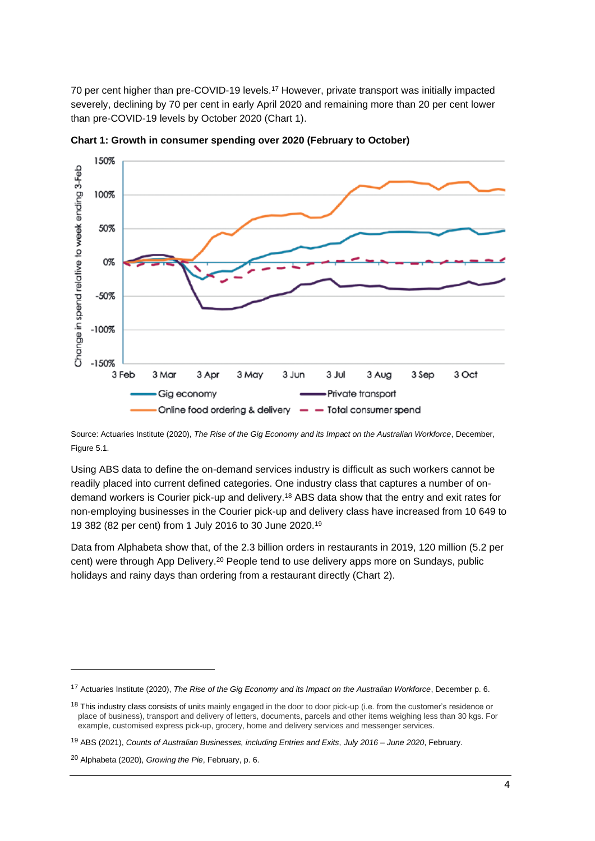70 per cent higher than pre-COVID-19 levels.<sup>17</sup> However, private transport was initially impacted severely, declining by 70 per cent in early April 2020 and remaining more than 20 per cent lower than pre-COVID-19 levels by October 2020 (Chart 1).



**Chart 1: Growth in consumer spending over 2020 (February to October)**

Source: Actuaries Institute (2020), *The Rise of the Gig Economy and its Impact on the Australian Workforce*, December, Figure 5.1.

Using ABS data to define the on-demand services industry is difficult as such workers cannot be readily placed into current defined categories. One industry class that captures a number of ondemand workers is Courier pick-up and delivery.<sup>18</sup> ABS data show that the entry and exit rates for non-employing businesses in the Courier pick-up and delivery class have increased from 10 649 to 19 382 (82 per cent) from 1 July 2016 to 30 June 2020.<sup>19</sup>

Data from Alphabeta show that, of the 2.3 billion orders in restaurants in 2019, 120 million (5.2 per cent) were through App Delivery.<sup>20</sup> People tend to use delivery apps more on Sundays, public holidays and rainy days than ordering from a restaurant directly (Chart 2).

<sup>17</sup> Actuaries Institute (2020), *The Rise of the Gig Economy and its Impact on the Australian Workforce*, December p. 6.

<sup>&</sup>lt;sup>18</sup> This industry class consists of units mainly engaged in the door to door pick-up (i.e. from the customer's residence or place of business), transport and delivery of letters, documents, parcels and other items weighing less than 30 kgs. For example, customised express pick-up, grocery, home and delivery services and messenger services.

<sup>19</sup> ABS (2021), *Counts of Australian Businesses, including Entries and Exits, July 2016 – June 2020*, February.

<sup>20</sup> Alphabeta (2020), *Growing the Pie*, February, p. 6.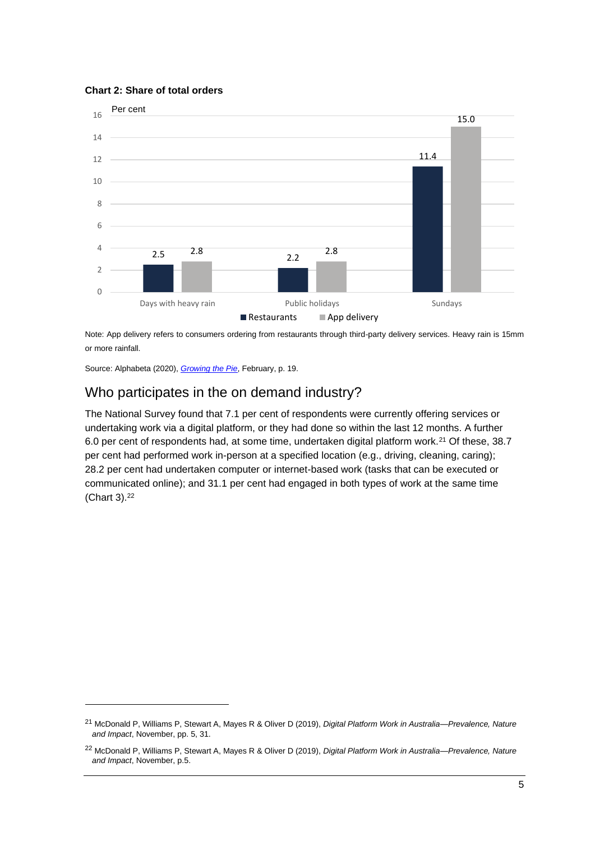



Note: App delivery refers to consumers ordering from restaurants through third-party delivery services. Heavy rain is 15mm or more rainfall.

Source: Alphabeta (2020), *[Growing the Pie](https://alphabeta.com/wp-content/uploads/2020/06/growing-the-pie-final-report.pdf)*, February, p. 19.

## Who participates in the on demand industry?

The National Survey found that 7.1 per cent of respondents were currently offering services or undertaking work via a digital platform, or they had done so within the last 12 months. A further 6.0 per cent of respondents had, at some time, undertaken digital platform work.<sup>21</sup> Of these, 38.7 per cent had performed work in-person at a specified location (e.g., driving, cleaning, caring); 28.2 per cent had undertaken computer or internet-based work (tasks that can be executed or communicated online); and 31.1 per cent had engaged in both types of work at the same time (Chart 3).<sup>22</sup>

<sup>21</sup> McDonald P, Williams P, Stewart A, Mayes R & Oliver D (2019), *Digital Platform Work in Australia—Prevalence, Nature and Impact*, November, pp. 5, 31.

<sup>22</sup> McDonald P, Williams P, Stewart A, Mayes R & Oliver D (2019), *Digital Platform Work in Australia—Prevalence, Nature and Impact*, November, p.5.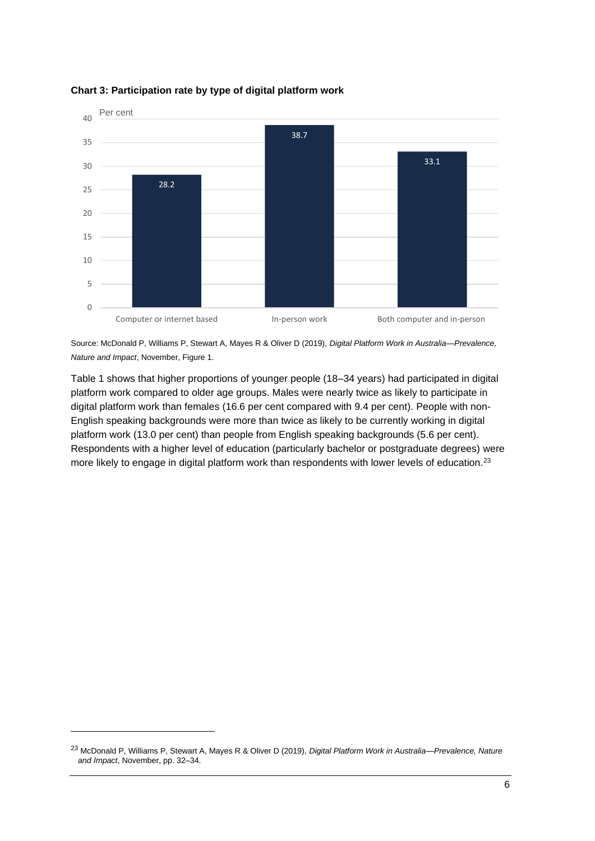

#### **Chart 3: Participation rate by type of digital platform work**

Source: McDonald P, Williams P, Stewart A, Mayes R & Oliver D (2019), *Digital Platform Work in Australia—Prevalence, Nature and Impact*, November, Figure 1.

Table 1 shows that higher proportions of younger people (18–34 years) had participated in digital platform work compared to older age groups. Males were nearly twice as likely to participate in digital platform work than females (16.6 per cent compared with 9.4 per cent). People with non-English speaking backgrounds were more than twice as likely to be currently working in digital platform work (13.0 per cent) than people from English speaking backgrounds (5.6 per cent). Respondents with a higher level of education (particularly bachelor or postgraduate degrees) were more likely to engage in digital platform work than respondents with lower levels of education.<sup>23</sup>

<sup>23</sup> McDonald P, Williams P, Stewart A, Mayes R & Oliver D (2019), *Digital Platform Work in Australia—Prevalence, Nature and Impact*, November, pp. 32–34.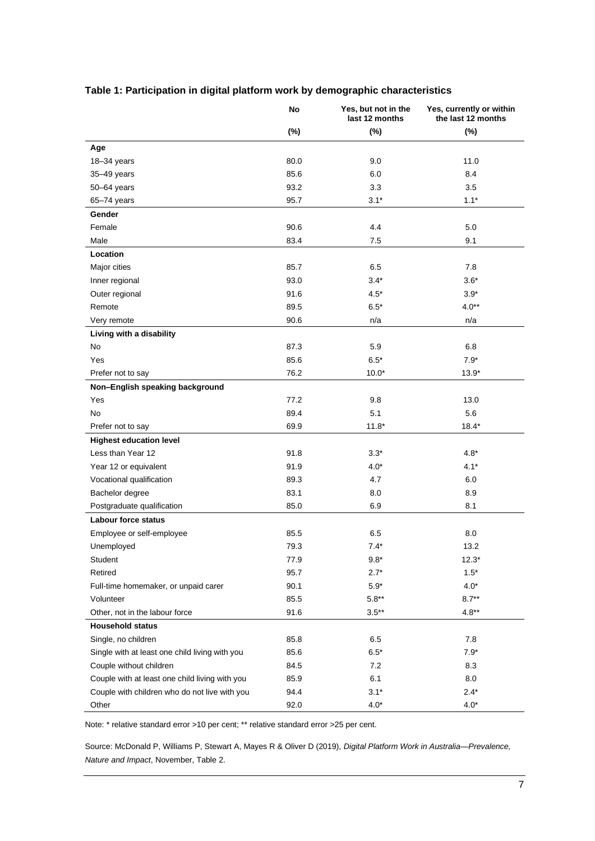|                                                | No     | Yes, but not in the<br>last 12 months | Yes, currently or within<br>the last 12 months |
|------------------------------------------------|--------|---------------------------------------|------------------------------------------------|
|                                                | $(\%)$ | $(\%)$                                | (%)                                            |
| Age                                            |        |                                       |                                                |
| 18-34 years                                    | 80.0   | 9.0                                   | 11.0                                           |
| 35-49 years                                    | 85.6   | 6.0                                   | 8.4                                            |
| $50 - 64$ years                                | 93.2   | 3.3                                   | 3.5                                            |
| 65-74 years                                    | 95.7   | $3.1*$                                | $1.1*$                                         |
| Gender                                         |        |                                       |                                                |
| Female                                         | 90.6   | 4.4                                   | 5.0                                            |
| Male                                           | 83.4   | 7.5                                   | 9.1                                            |
| Location                                       |        |                                       |                                                |
| Major cities                                   | 85.7   | 6.5                                   | 7.8                                            |
| Inner regional                                 | 93.0   | $3.4*$                                | $3.6*$                                         |
| Outer regional                                 | 91.6   | $4.5*$                                | $3.9*$                                         |
| Remote                                         | 89.5   | $6.5*$                                | $4.0**$                                        |
| Very remote                                    | 90.6   | n/a                                   | n/a                                            |
| Living with a disability                       |        |                                       |                                                |
| No                                             | 87.3   | 5.9                                   | 6.8                                            |
| Yes                                            | 85.6   | $6.5*$                                | $7.9*$                                         |
| Prefer not to say                              | 76.2   | $10.0*$                               | $13.9*$                                        |
| Non-English speaking background                |        |                                       |                                                |
| Yes                                            | 77.2   | 9.8                                   | 13.0                                           |
| No                                             | 89.4   | 5.1                                   | 5.6                                            |
| Prefer not to say                              | 69.9   | $11.8*$                               | $18.4*$                                        |
| <b>Highest education level</b>                 |        |                                       |                                                |
| Less than Year 12                              | 91.8   | $3.3*$                                | $4.8*$                                         |
| Year 12 or equivalent                          | 91.9   | $4.0*$                                | $4.1*$                                         |
| Vocational qualification                       | 89.3   | 4.7                                   | 6.0                                            |
| Bachelor degree                                | 83.1   | 8.0                                   | 8.9                                            |
| Postgraduate qualification                     | 85.0   | 6.9                                   | 8.1                                            |
| <b>Labour force status</b>                     |        |                                       |                                                |
| Employee or self-employee                      | 85.5   | 6.5                                   | 8.0                                            |
| Unemployed                                     | 79.3   | $7.4*$                                | 13.2                                           |
| Student                                        | 77.9   | $9.8*$                                | $12.3*$                                        |
| Retired                                        | 95.7   | $2.7*$                                | $1.5*$                                         |
| Full-time homemaker, or unpaid carer           | 90.1   | $5.9*$                                | $4.0*$                                         |
| Volunteer                                      | 85.5   | $5.8**$                               | $8.7**$                                        |
| Other, not in the labour force                 | 91.6   | $3.5**$                               | $4.8**$                                        |
| <b>Household status</b>                        |        |                                       |                                                |
| Single, no children                            | 85.8   | 6.5                                   | 7.8                                            |
| Single with at least one child living with you | 85.6   | $6.5*$                                | $7.9*$                                         |
| Couple without children                        | 84.5   | 7.2                                   | 8.3                                            |
| Couple with at least one child living with you | 85.9   | 6.1                                   | $8.0\,$                                        |
| Couple with children who do not live with you  | 94.4   | $3.1*$                                | $2.4*$                                         |
| Other                                          | 92.0   | $4.0*$                                | $4.0*$                                         |

#### **Table 1: Participation in digital platform work by demographic characteristics**

Note: \* relative standard error >10 per cent; \*\* relative standard error >25 per cent.

Source: McDonald P, Williams P, Stewart A, Mayes R & Oliver D (2019), *Digital Platform Work in Australia—Prevalence, Nature and Impact*, November, Table 2.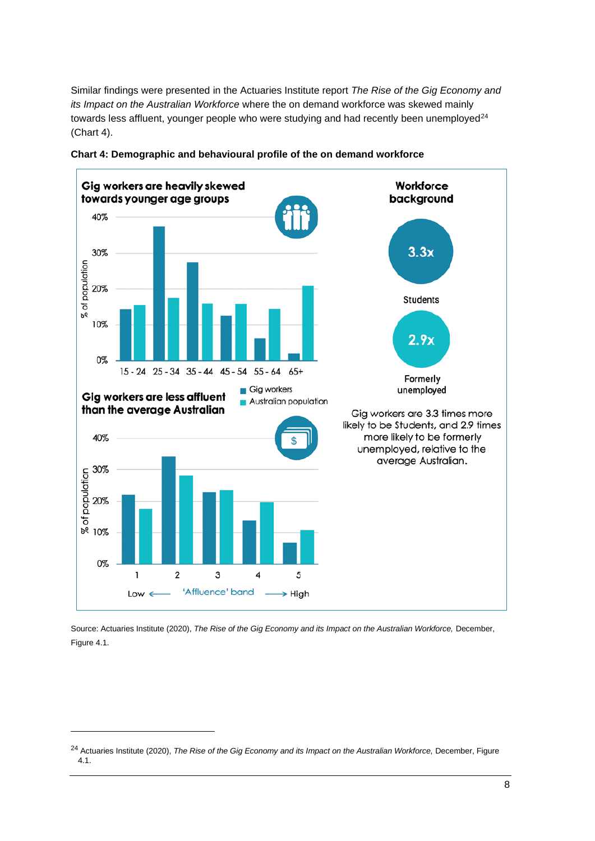Similar findings were presented in the Actuaries Institute report *The Rise of the Gig Economy and its Impact on the Australian Workforce* where the on demand workforce was skewed mainly towards less affluent, younger people who were studying and had recently been unemployed<sup>24</sup> (Chart 4).





Source: Actuaries Institute (2020), *The Rise of the Gig Economy and its Impact on the Australian Workforce,* December, Figure 4.1.

<sup>24</sup> Actuaries Institute (2020), *The Rise of the Gig Economy and its Impact on the Australian Workforce,* December, Figure 4.1.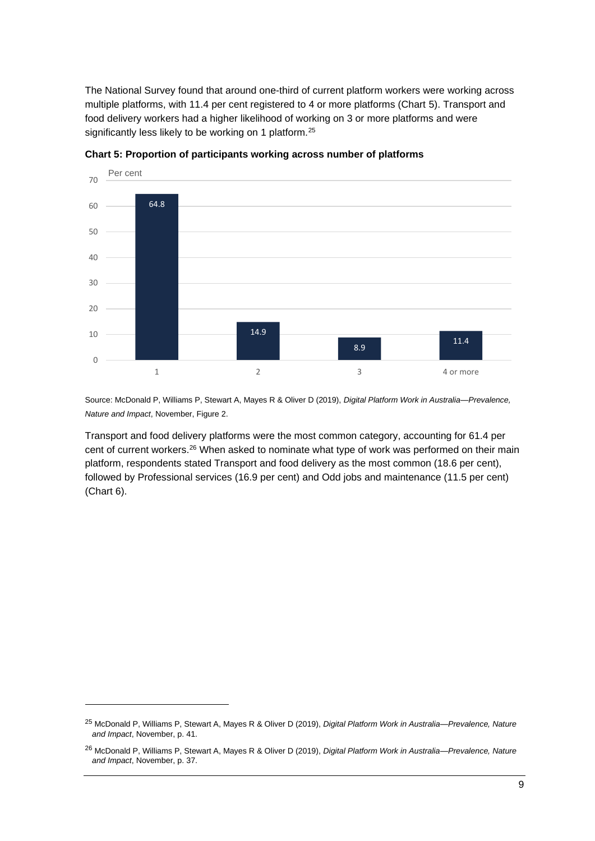The National Survey found that around one-third of current platform workers were working across multiple platforms, with 11.4 per cent registered to 4 or more platforms (Chart 5). Transport and food delivery workers had a higher likelihood of working on 3 or more platforms and were significantly less likely to be working on 1 platform.<sup>25</sup>



**Chart 5: Proportion of participants working across number of platforms**

Source: McDonald P, Williams P, Stewart A, Mayes R & Oliver D (2019), *Digital Platform Work in Australia—Prevalence, Nature and Impact*, November, Figure 2.

Transport and food delivery platforms were the most common category, accounting for 61.4 per cent of current workers.<sup>26</sup> When asked to nominate what type of work was performed on their main platform, respondents stated Transport and food delivery as the most common (18.6 per cent), followed by Professional services (16.9 per cent) and Odd jobs and maintenance (11.5 per cent) (Chart 6).

<sup>25</sup> McDonald P, Williams P, Stewart A, Mayes R & Oliver D (2019), *Digital Platform Work in Australia—Prevalence, Nature and Impact*, November, p. 41.

<sup>26</sup> McDonald P, Williams P, Stewart A, Mayes R & Oliver D (2019), *Digital Platform Work in Australia—Prevalence, Nature and Impact*, November, p. 37.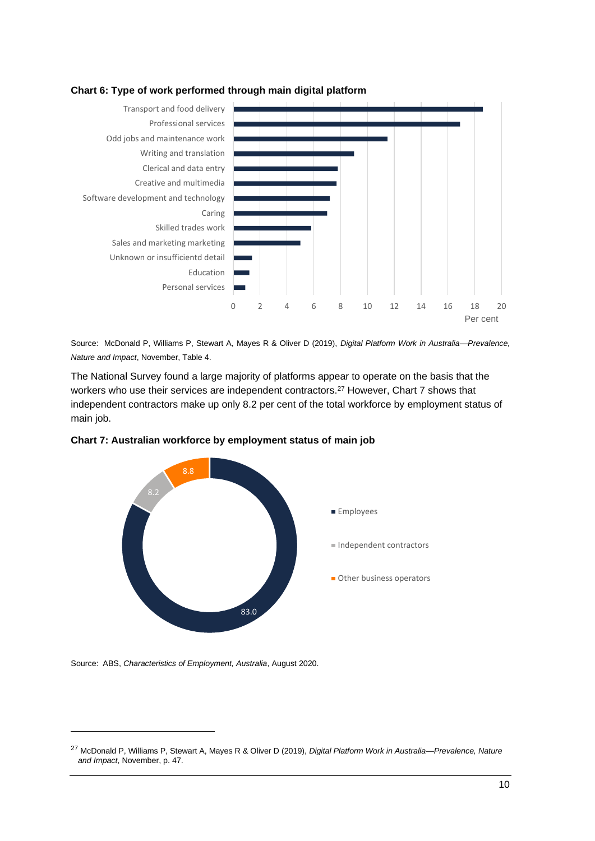

#### **Chart 6: Type of work performed through main digital platform**

Source: McDonald P, Williams P, Stewart A, Mayes R & Oliver D (2019), *Digital Platform Work in Australia—Prevalence, Nature and Impact*, November, Table 4.

The National Survey found a large majority of platforms appear to operate on the basis that the workers who use their services are independent contractors.<sup>27</sup> However, Chart 7 shows that independent contractors make up only 8.2 per cent of the total workforce by employment status of main job.





Source: ABS, *Characteristics of Employment, Australia*, August 2020.

<sup>27</sup> McDonald P, Williams P, Stewart A, Mayes R & Oliver D (2019), *Digital Platform Work in Australia—Prevalence, Nature and Impact*, November, p. 47.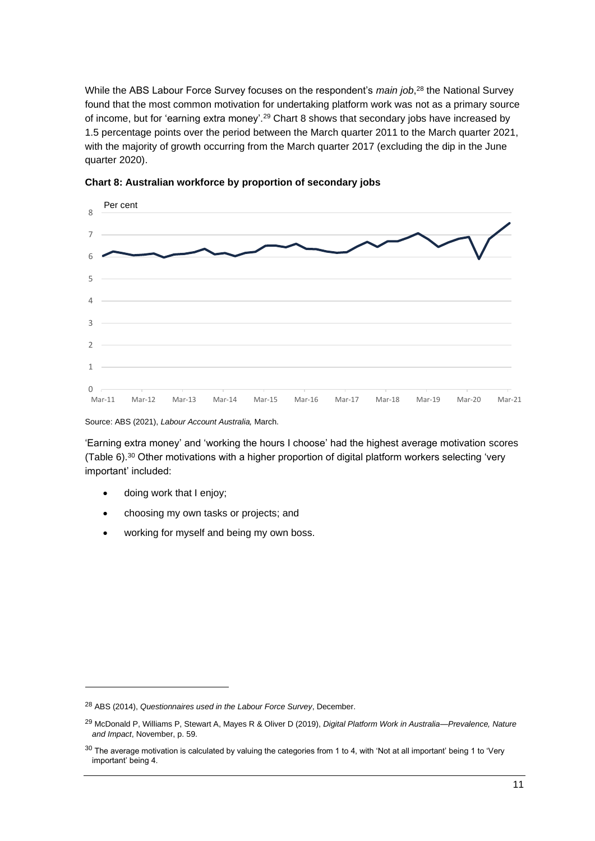While the ABS Labour Force Survey focuses on the respondent's *main job*, <sup>28</sup> the National Survey found that the most common motivation for undertaking platform work was not as a primary source of income, but for 'earning extra money'.<sup>29</sup> Chart 8 shows that secondary jobs have increased by 1.5 percentage points over the period between the March quarter 2011 to the March quarter 2021, with the majority of growth occurring from the March quarter 2017 (excluding the dip in the June quarter 2020).



**Chart 8: Australian workforce by proportion of secondary jobs**

Source: ABS (2021), *Labour Account Australia,* March.

'Earning extra money' and 'working the hours I choose' had the highest average motivation scores (Table 6).<sup>30</sup> Other motivations with a higher proportion of digital platform workers selecting 'very important' included:

- doing work that I enjoy;
- choosing my own tasks or projects; and
- working for myself and being my own boss.

<sup>28</sup> ABS (2014), *Questionnaires used in the Labour Force Survey*, December.

<sup>29</sup> McDonald P, Williams P, Stewart A, Mayes R & Oliver D (2019), *Digital Platform Work in Australia—Prevalence, Nature and Impact*, November, p. 59.

 $30$  The average motivation is calculated by valuing the categories from 1 to 4, with 'Not at all important' being 1 to 'Very important' being 4.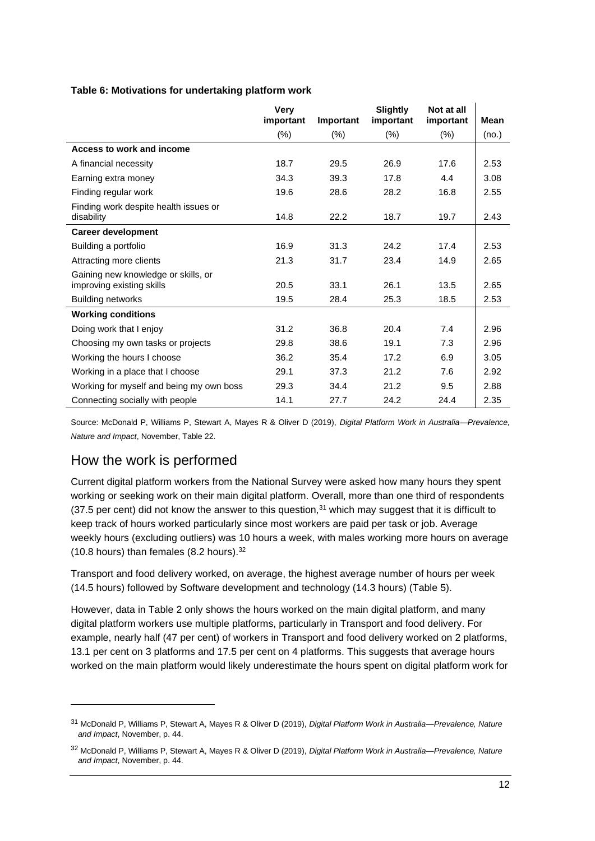#### **Table 6: Motivations for undertaking platform work**

|                                                                  | <b>Very</b><br>important | Important | <b>Slightly</b><br>important | Not at all<br>important | <b>Mean</b> |
|------------------------------------------------------------------|--------------------------|-----------|------------------------------|-------------------------|-------------|
|                                                                  | $(\%)$                   | $(\% )$   | $(\% )$                      | (%)                     | (no.)       |
| Access to work and income                                        |                          |           |                              |                         |             |
| A financial necessity                                            | 18.7                     | 29.5      | 26.9                         | 17.6                    | 2.53        |
| Earning extra money                                              | 34.3                     | 39.3      | 17.8                         | 4.4                     | 3.08        |
| Finding regular work                                             | 19.6                     | 28.6      | 28.2                         | 16.8                    | 2.55        |
| Finding work despite health issues or<br>disability              | 14.8                     | 22.2      | 18.7                         | 19.7                    | 2.43        |
| <b>Career development</b>                                        |                          |           |                              |                         |             |
| Building a portfolio                                             | 16.9                     | 31.3      | 24.2                         | 17.4                    | 2.53        |
| Attracting more clients                                          | 21.3                     | 31.7      | 23.4                         | 14.9                    | 2.65        |
| Gaining new knowledge or skills, or<br>improving existing skills | 20.5                     | 33.1      | 26.1                         | 13.5                    | 2.65        |
| <b>Building networks</b>                                         | 19.5                     | 28.4      | 25.3                         | 18.5                    | 2.53        |
| <b>Working conditions</b>                                        |                          |           |                              |                         |             |
| Doing work that I enjoy                                          | 31.2                     | 36.8      | 20.4                         | 7.4                     | 2.96        |
| Choosing my own tasks or projects                                | 29.8                     | 38.6      | 19.1                         | 7.3                     | 2.96        |
| Working the hours I choose                                       | 36.2                     | 35.4      | 17.2                         | 6.9                     | 3.05        |
| Working in a place that I choose                                 | 29.1                     | 37.3      | 21.2                         | 7.6                     | 2.92        |
| Working for myself and being my own boss                         | 29.3                     | 34.4      | 21.2                         | 9.5                     | 2.88        |
| Connecting socially with people                                  | 14.1                     | 27.7      | 24.2                         | 24.4                    | 2.35        |

Source: McDonald P, Williams P, Stewart A, Mayes R & Oliver D (2019), *Digital Platform Work in Australia—Prevalence, Nature and Impact*, November, Table 22.

## How the work is performed

Current digital platform workers from the National Survey were asked how many hours they spent working or seeking work on their main digital platform. Overall, more than one third of respondents  $(37.5$  per cent) did not know the answer to this question,  $31$  which may suggest that it is difficult to keep track of hours worked particularly since most workers are paid per task or job. Average weekly hours (excluding outliers) was 10 hours a week, with males working more hours on average (10.8 hours) than females (8.2 hours).<sup>32</sup>

Transport and food delivery worked, on average, the highest average number of hours per week (14.5 hours) followed by Software development and technology (14.3 hours) (Table 5).

However, data in Table 2 only shows the hours worked on the main digital platform, and many digital platform workers use multiple platforms, particularly in Transport and food delivery. For example, nearly half (47 per cent) of workers in Transport and food delivery worked on 2 platforms, 13.1 per cent on 3 platforms and 17.5 per cent on 4 platforms. This suggests that average hours worked on the main platform would likely underestimate the hours spent on digital platform work for

<sup>31</sup> McDonald P, Williams P, Stewart A, Mayes R & Oliver D (2019), *Digital Platform Work in Australia—Prevalence, Nature and Impact*, November, p. 44.

<sup>32</sup> McDonald P, Williams P, Stewart A, Mayes R & Oliver D (2019), *Digital Platform Work in Australia—Prevalence, Nature and Impact*, November, p. 44.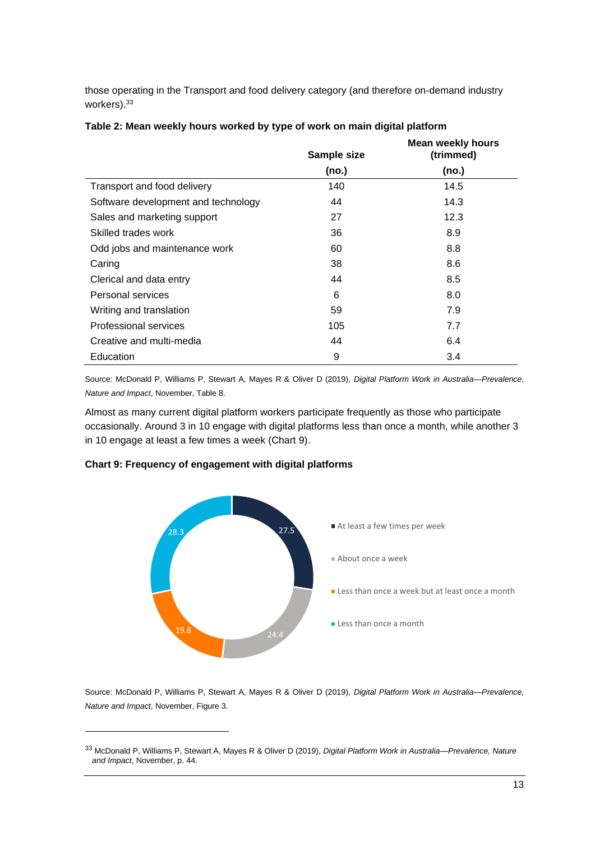those operating in the Transport and food delivery category (and therefore on-demand industry workers).<sup>33</sup>

|                                     | Sample size | <b>Mean weekly hours</b><br>(trimmed) |
|-------------------------------------|-------------|---------------------------------------|
|                                     | (no.)       | (no.)                                 |
| Transport and food delivery         | 140         | 14.5                                  |
| Software development and technology | 44          | 14.3                                  |
| Sales and marketing support         | 27          | 12.3                                  |
| Skilled trades work                 | 36          | 8.9                                   |
| Odd jobs and maintenance work       | 60          | 8.8                                   |
| Caring                              | 38          | 8.6                                   |
| Clerical and data entry             | 44          | 8.5                                   |
| Personal services                   | 6           | 8.0                                   |
| Writing and translation             | 59          | 7.9                                   |
| Professional services               | 105         | 7.7                                   |
| Creative and multi-media            | 44          | 6.4                                   |
| Education                           | 9           | 3.4                                   |

#### **Table 2: Mean weekly hours worked by type of work on main digital platform**

Source: McDonald P, Williams P, Stewart A, Mayes R & Oliver D (2019), *Digital Platform Work in Australia—Prevalence, Nature and Impact*, November, Table 8.

Almost as many current digital platform workers participate frequently as those who participate occasionally. Around 3 in 10 engage with digital platforms less than once a month, while another 3 in 10 engage at least a few times a week (Chart 9).

#### **Chart 9: Frequency of engagement with digital platforms**



Source: McDonald P, Williams P, Stewart A, Mayes R & Oliver D (2019), *Digital Platform Work in Australia—Prevalence, Nature and Impact*, November, Figure 3.

<sup>33</sup> McDonald P, Williams P, Stewart A, Mayes R & Oliver D (2019), *Digital Platform Work in Australia—Prevalence, Nature and Impact*, November, p. 44.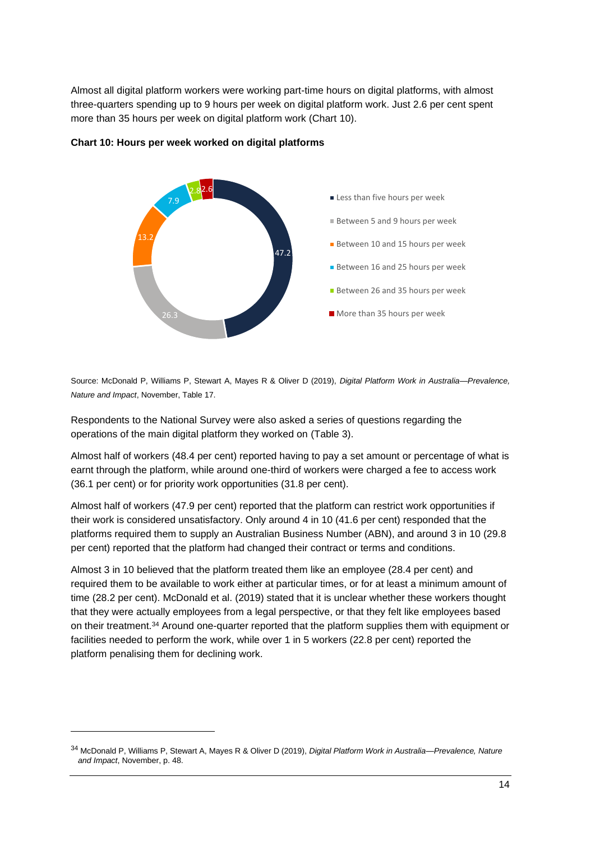Almost all digital platform workers were working part-time hours on digital platforms, with almost three-quarters spending up to 9 hours per week on digital platform work. Just 2.6 per cent spent more than 35 hours per week on digital platform work (Chart 10).



#### **Chart 10: Hours per week worked on digital platforms**

Source: McDonald P, Williams P, Stewart A, Mayes R & Oliver D (2019), *Digital Platform Work in Australia—Prevalence, Nature and Impact*, November, Table 17.

Respondents to the National Survey were also asked a series of questions regarding the operations of the main digital platform they worked on (Table 3).

Almost half of workers (48.4 per cent) reported having to pay a set amount or percentage of what is earnt through the platform, while around one-third of workers were charged a fee to access work (36.1 per cent) or for priority work opportunities (31.8 per cent).

Almost half of workers (47.9 per cent) reported that the platform can restrict work opportunities if their work is considered unsatisfactory. Only around 4 in 10 (41.6 per cent) responded that the platforms required them to supply an Australian Business Number (ABN), and around 3 in 10 (29.8 per cent) reported that the platform had changed their contract or terms and conditions.

Almost 3 in 10 believed that the platform treated them like an employee (28.4 per cent) and required them to be available to work either at particular times, or for at least a minimum amount of time (28.2 per cent). McDonald et al. (2019) stated that it is unclear whether these workers thought that they were actually employees from a legal perspective, or that they felt like employees based on their treatment.<sup>34</sup> Around one-quarter reported that the platform supplies them with equipment or facilities needed to perform the work, while over 1 in 5 workers (22.8 per cent) reported the platform penalising them for declining work.

<sup>34</sup> McDonald P, Williams P, Stewart A, Mayes R & Oliver D (2019), *Digital Platform Work in Australia—Prevalence, Nature and Impact*, November, p. 48.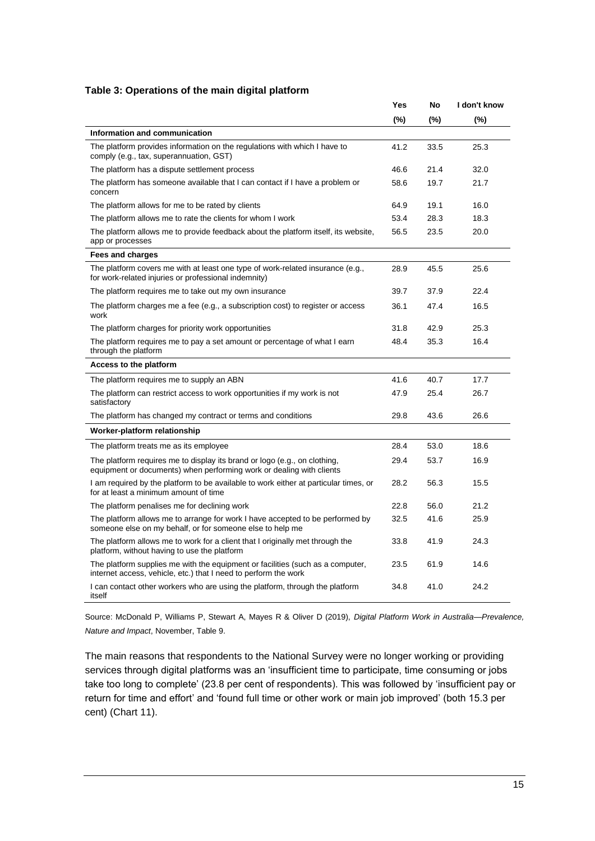#### **Table 3: Operations of the main digital platform**

|                                                                                                                                                   | Yes     | No     | I don't know |
|---------------------------------------------------------------------------------------------------------------------------------------------------|---------|--------|--------------|
|                                                                                                                                                   | $(\% )$ | $(\%)$ | $(\% )$      |
| Information and communication                                                                                                                     |         |        |              |
| The platform provides information on the regulations with which I have to<br>comply (e.g., tax, superannuation, GST)                              | 41.2    | 33.5   | 25.3         |
| The platform has a dispute settlement process                                                                                                     | 46.6    | 21.4   | 32.0         |
| The platform has someone available that I can contact if I have a problem or<br>concern                                                           | 58.6    | 19.7   | 21.7         |
| The platform allows for me to be rated by clients                                                                                                 | 64.9    | 19.1   | 16.0         |
| The platform allows me to rate the clients for whom I work                                                                                        | 53.4    | 28.3   | 18.3         |
| The platform allows me to provide feedback about the platform itself, its website,<br>app or processes                                            | 56.5    | 23.5   | 20.0         |
| <b>Fees and charges</b>                                                                                                                           |         |        |              |
| The platform covers me with at least one type of work-related insurance (e.g.,<br>for work-related injuries or professional indemnity)            | 28.9    | 45.5   | 25.6         |
| The platform requires me to take out my own insurance                                                                                             | 39.7    | 37.9   | 22.4         |
| The platform charges me a fee (e.g., a subscription cost) to register or access<br>work                                                           | 36.1    | 47.4   | 16.5         |
| The platform charges for priority work opportunities                                                                                              | 31.8    | 42.9   | 25.3         |
| The platform requires me to pay a set amount or percentage of what I earn<br>through the platform                                                 | 48.4    | 35.3   | 16.4         |
| <b>Access to the platform</b>                                                                                                                     |         |        |              |
| The platform requires me to supply an ABN                                                                                                         | 41.6    | 40.7   | 17.7         |
| The platform can restrict access to work opportunities if my work is not<br>satisfactory                                                          | 47.9    | 25.4   | 26.7         |
| The platform has changed my contract or terms and conditions                                                                                      | 29.8    | 43.6   | 26.6         |
| Worker-platform relationship                                                                                                                      |         |        |              |
| The platform treats me as its employee                                                                                                            | 28.4    | 53.0   | 18.6         |
| The platform requires me to display its brand or logo (e.g., on clothing,<br>equipment or documents) when performing work or dealing with clients | 29.4    | 53.7   | 16.9         |
| I am required by the platform to be available to work either at particular times, or<br>for at least a minimum amount of time                     | 28.2    | 56.3   | 15.5         |
| The platform penalises me for declining work                                                                                                      | 22.8    | 56.0   | 21.2         |
| The platform allows me to arrange for work I have accepted to be performed by<br>someone else on my behalf, or for someone else to help me        | 32.5    | 41.6   | 25.9         |
| The platform allows me to work for a client that I originally met through the<br>platform, without having to use the platform                     | 33.8    | 41.9   | 24.3         |
| The platform supplies me with the equipment or facilities (such as a computer,<br>internet access, vehicle, etc.) that I need to perform the work | 23.5    | 61.9   | 14.6         |
| I can contact other workers who are using the platform, through the platform<br>itself                                                            | 34.8    | 41.0   | 24.2         |

Source: McDonald P, Williams P, Stewart A, Mayes R & Oliver D (2019), *Digital Platform Work in Australia—Prevalence, Nature and Impact*, November, Table 9.

The main reasons that respondents to the National Survey were no longer working or providing services through digital platforms was an 'insufficient time to participate, time consuming or jobs take too long to complete' (23.8 per cent of respondents). This was followed by 'insufficient pay or return for time and effort' and 'found full time or other work or main job improved' (both 15.3 per cent) (Chart 11).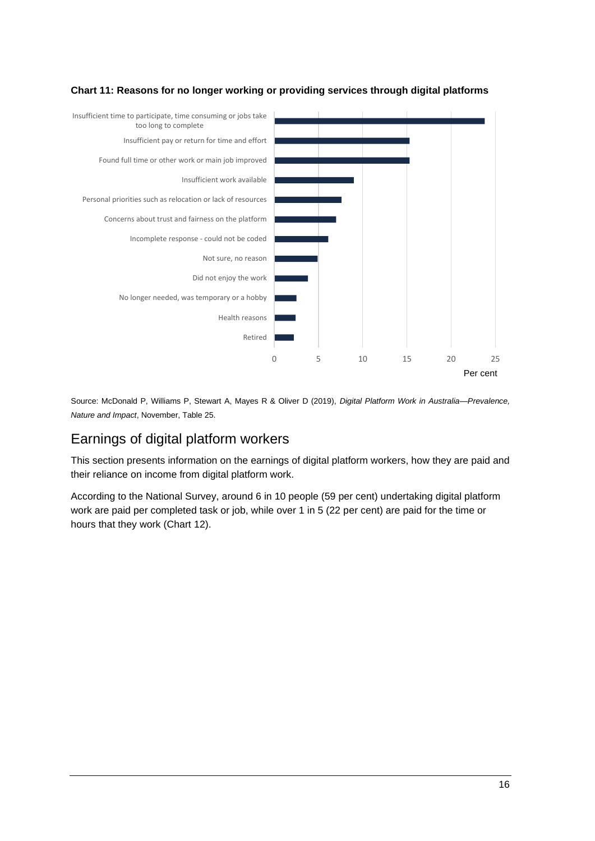

#### **Chart 11: Reasons for no longer working or providing services through digital platforms**

Source: McDonald P, Williams P, Stewart A, Mayes R & Oliver D (2019), *Digital Platform Work in Australia—Prevalence, Nature and Impact*, November, Table 25.

## Earnings of digital platform workers

This section presents information on the earnings of digital platform workers, how they are paid and their reliance on income from digital platform work.

According to the National Survey, around 6 in 10 people (59 per cent) undertaking digital platform work are paid per completed task or job, while over 1 in 5 (22 per cent) are paid for the time or hours that they work (Chart 12).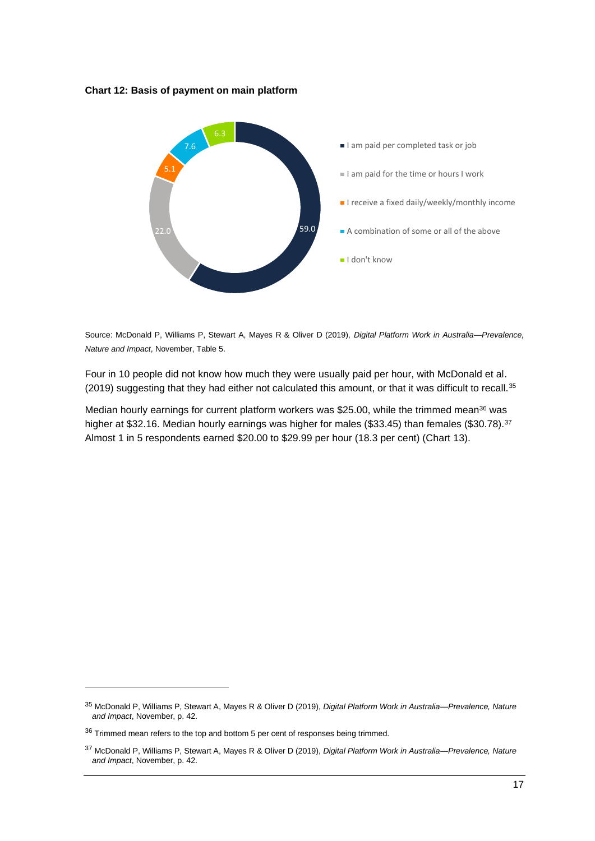**Chart 12: Basis of payment on main platform**



Source: McDonald P, Williams P, Stewart A, Mayes R & Oliver D (2019), *Digital Platform Work in Australia—Prevalence, Nature and Impact*, November, Table 5.

Four in 10 people did not know how much they were usually paid per hour, with McDonald et al. (2019) suggesting that they had either not calculated this amount, or that it was difficult to recall.<sup>35</sup>

Median hourly earnings for current platform workers was \$25.00, while the trimmed mean<sup>36</sup> was higher at \$32.16. Median hourly earnings was higher for males (\$33.45) than females (\$30.78).<sup>37</sup> Almost 1 in 5 respondents earned \$20.00 to \$29.99 per hour (18.3 per cent) (Chart 13).

<sup>35</sup> McDonald P, Williams P, Stewart A, Mayes R & Oliver D (2019), *Digital Platform Work in Australia—Prevalence, Nature and Impact*, November, p. 42.

<sup>&</sup>lt;sup>36</sup> Trimmed mean refers to the top and bottom 5 per cent of responses being trimmed.

<sup>37</sup> McDonald P, Williams P, Stewart A, Mayes R & Oliver D (2019), *Digital Platform Work in Australia—Prevalence, Nature and Impact*, November, p. 42.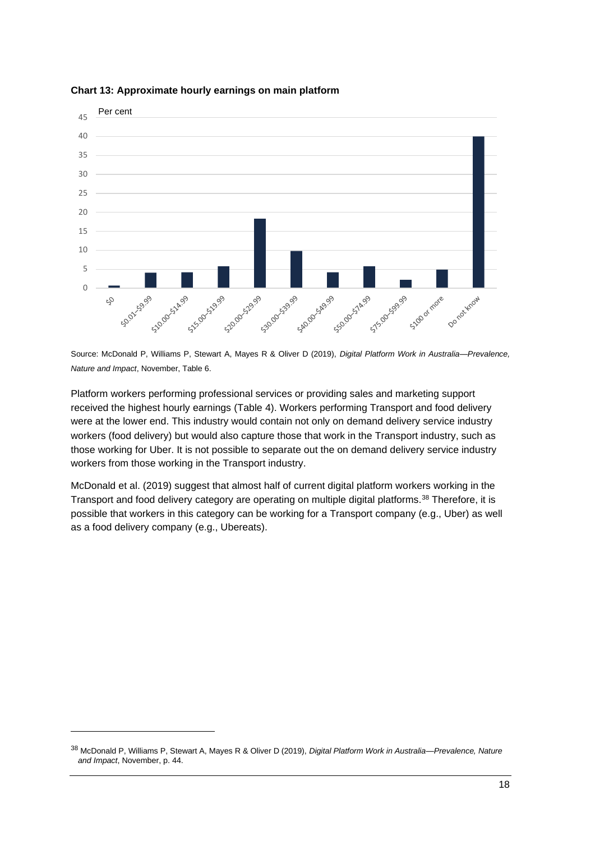

#### **Chart 13: Approximate hourly earnings on main platform**

Source: McDonald P, Williams P, Stewart A, Mayes R & Oliver D (2019), *Digital Platform Work in Australia—Prevalence, Nature and Impact*, November, Table 6.

Platform workers performing professional services or providing sales and marketing support received the highest hourly earnings (Table 4). Workers performing Transport and food delivery were at the lower end. This industry would contain not only on demand delivery service industry workers (food delivery) but would also capture those that work in the Transport industry, such as those working for Uber. It is not possible to separate out the on demand delivery service industry workers from those working in the Transport industry.

McDonald et al. (2019) suggest that almost half of current digital platform workers working in the Transport and food delivery category are operating on multiple digital platforms.<sup>38</sup> Therefore, it is possible that workers in this category can be working for a Transport company (e.g., Uber) as well as a food delivery company (e.g., Ubereats).

<sup>38</sup> McDonald P, Williams P, Stewart A, Mayes R & Oliver D (2019), *Digital Platform Work in Australia—Prevalence, Nature and Impact*, November, p. 44.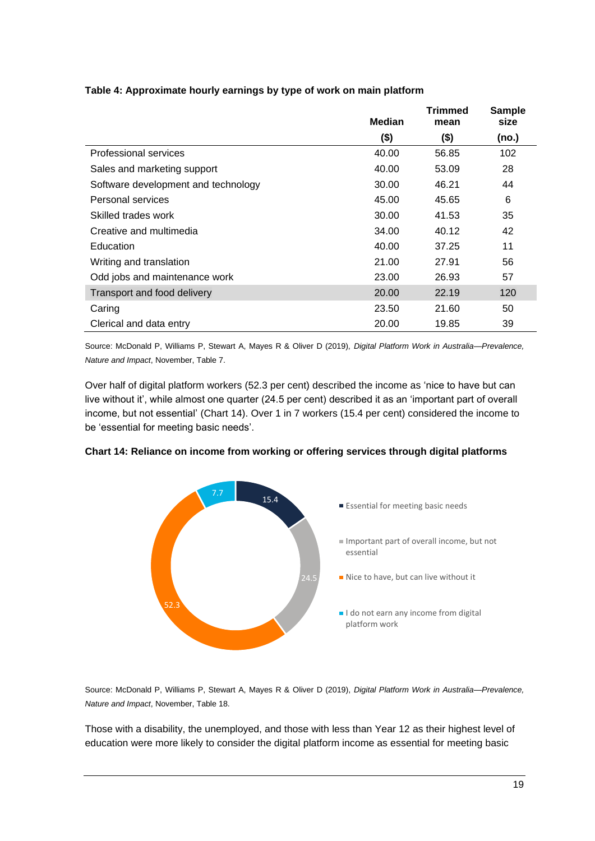|                                     | <b>Median</b> | Trimmed<br>mean | <b>Sample</b><br>size |
|-------------------------------------|---------------|-----------------|-----------------------|
|                                     | (\$)          | (\$)            | (no.)                 |
| Professional services               | 40.00         | 56.85           | 102                   |
| Sales and marketing support         | 40.00         | 53.09           | 28                    |
| Software development and technology | 30.00         | 46.21           | 44                    |
| Personal services                   | 45.00         | 45.65           | 6                     |
| Skilled trades work                 | 30.00         | 41.53           | 35                    |
| Creative and multimedia             | 34.00         | 40.12           | 42                    |
| Education                           | 40.00         | 37.25           | 11                    |
| Writing and translation             | 21.00         | 27.91           | 56                    |
| Odd jobs and maintenance work       | 23.00         | 26.93           | 57                    |
| Transport and food delivery         | 20.00         | 22.19           | 120                   |
| Caring                              | 23.50         | 21.60           | 50                    |
| Clerical and data entry             | 20.00         | 19.85           | 39                    |

#### **Table 4: Approximate hourly earnings by type of work on main platform**

Source: McDonald P, Williams P, Stewart A, Mayes R & Oliver D (2019), *Digital Platform Work in Australia—Prevalence, Nature and Impact*, November, Table 7.

Over half of digital platform workers (52.3 per cent) described the income as 'nice to have but can live without it', while almost one quarter (24.5 per cent) described it as an 'important part of overall income, but not essential' (Chart 14). Over 1 in 7 workers (15.4 per cent) considered the income to be 'essential for meeting basic needs'.



#### **Chart 14: Reliance on income from working or offering services through digital platforms**

Source: McDonald P, Williams P, Stewart A, Mayes R & Oliver D (2019), *Digital Platform Work in Australia—Prevalence, Nature and Impact*, November, Table 18.

Those with a disability, the unemployed, and those with less than Year 12 as their highest level of education were more likely to consider the digital platform income as essential for meeting basic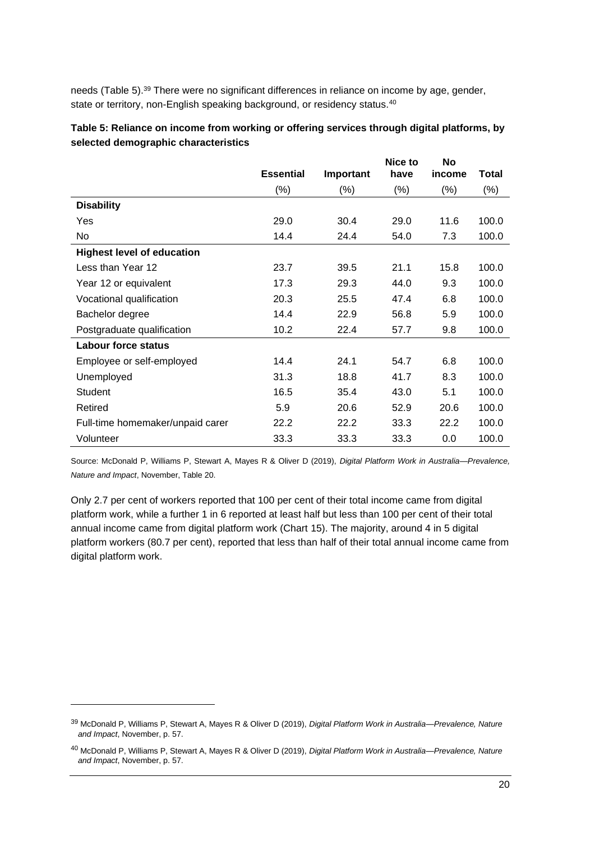needs (Table 5).<sup>39</sup> There were no significant differences in reliance on income by age, gender, state or territory, non-English speaking background, or residency status.<sup>40</sup>

|                                   | <b>Essential</b> | Important | Nice to<br>have | <b>No</b><br>income | Total  |
|-----------------------------------|------------------|-----------|-----------------|---------------------|--------|
|                                   | $(\% )$          | (%)       | $(\% )$         | $(\%)$              | $(\%)$ |
| <b>Disability</b>                 |                  |           |                 |                     |        |
| Yes                               | 29.0             | 30.4      | 29.0            | 11.6                | 100.0  |
| No                                | 14.4             | 24.4      | 54.0            | 7.3                 | 100.0  |
| <b>Highest level of education</b> |                  |           |                 |                     |        |
| Less than Year 12                 | 23.7             | 39.5      | 21.1            | 15.8                | 100.0  |
| Year 12 or equivalent             | 17.3             | 29.3      | 44.0            | 9.3                 | 100.0  |
| Vocational qualification          | 20.3             | 25.5      | 47.4            | 6.8                 | 100.0  |
| Bachelor degree                   | 14.4             | 22.9      | 56.8            | 5.9                 | 100.0  |
| Postgraduate qualification        | 10.2             | 22.4      | 57.7            | 9.8                 | 100.0  |
| <b>Labour force status</b>        |                  |           |                 |                     |        |
| Employee or self-employed         | 14.4             | 24.1      | 54.7            | 6.8                 | 100.0  |
| Unemployed                        | 31.3             | 18.8      | 41.7            | 8.3                 | 100.0  |
| <b>Student</b>                    | 16.5             | 35.4      | 43.0            | 5.1                 | 100.0  |
| Retired                           | 5.9              | 20.6      | 52.9            | 20.6                | 100.0  |
| Full-time homemaker/unpaid carer  | 22.2             | 22.2      | 33.3            | 22.2                | 100.0  |
| Volunteer                         | 33.3             | 33.3      | 33.3            | 0.0                 | 100.0  |

**Table 5: Reliance on income from working or offering services through digital platforms, by selected demographic characteristics**

Source: McDonald P, Williams P, Stewart A, Mayes R & Oliver D (2019), *Digital Platform Work in Australia—Prevalence, Nature and Impact*, November, Table 20.

Only 2.7 per cent of workers reported that 100 per cent of their total income came from digital platform work, while a further 1 in 6 reported at least half but less than 100 per cent of their total annual income came from digital platform work (Chart 15). The majority, around 4 in 5 digital platform workers (80.7 per cent), reported that less than half of their total annual income came from digital platform work.

<sup>39</sup> McDonald P, Williams P, Stewart A, Mayes R & Oliver D (2019), *Digital Platform Work in Australia—Prevalence, Nature and Impact*, November, p. 57.

<sup>40</sup> McDonald P, Williams P, Stewart A, Mayes R & Oliver D (2019), *Digital Platform Work in Australia—Prevalence, Nature and Impact*, November, p. 57.